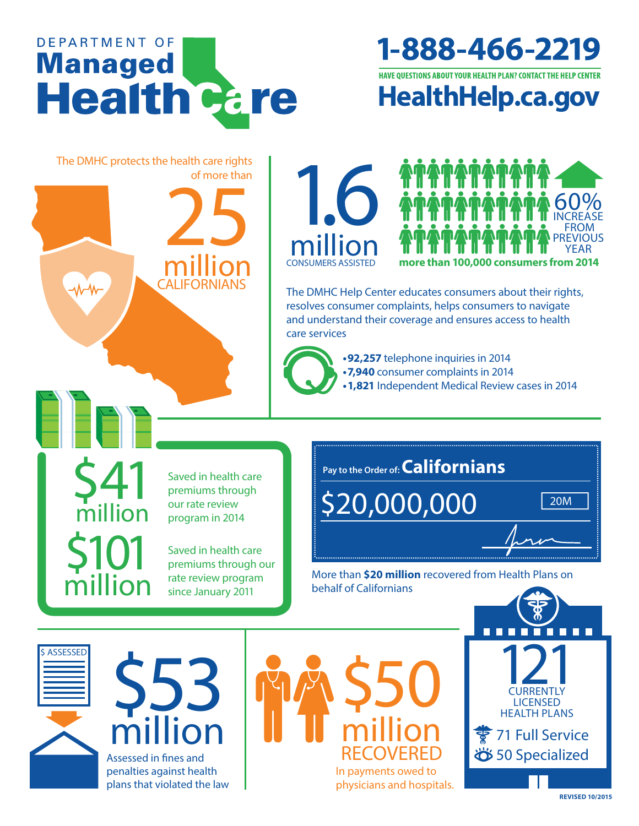

1-888-466-2219

**HAVE QUESTIONS ABOUT YOUR HEALTH PLAN? CONTACT THE HELP CENTER** 

**HealthHelp.ca.gov** 

The DMHC protects the health care rights of more than **25** 





The DMHC Help Center educates consumers about their rights, resolves consumer complaints, helps consumers to navigate and understand their coverage and ensures access to health care services



**• 92,257** telephone inquiries in 2014 **• 7,940** consumer complaints in 2014 • 1,821 Independent Medical Review cases in 2014

S41 Saved in health care<br>premiums through<br>our rate review premiums through million our rate review

**CALIFORNIANS** 

saved in health care premiums through our rate review program since January 2011

\$101

million

a ssessed in fines and

penalties against health plans that violated the law

million

\$53

**ASSESSED** 

**Pay to the Order of: Californians**

\$20,000,000 20M



more than **\$20 million** recovered from health plans on behalf of Californians